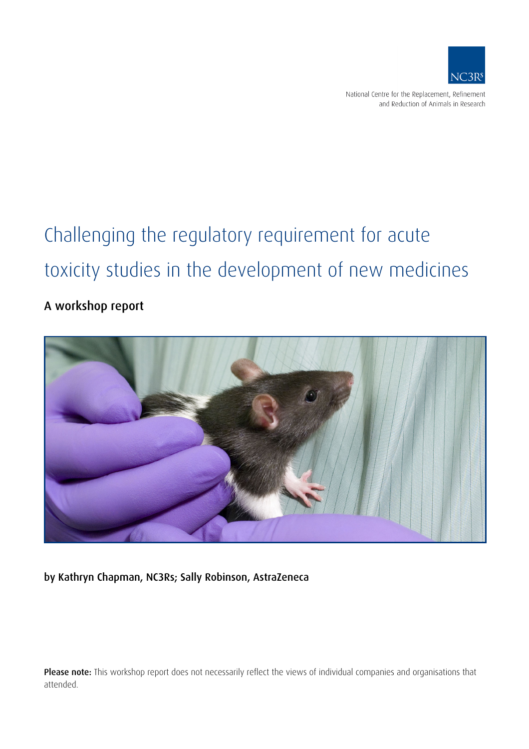

National Centre for the Replacement, Refinement and Reduction of Animals in Research

# Challenging the regulatory requirement for acute toxicity studies in the development of new medicines

# A workshop report



by Kathryn Chapman, NC3Rs; Sally Robinson, AstraZeneca

Please note: This workshop report does not necessarily reflect the views of individual companies and organisations that attended.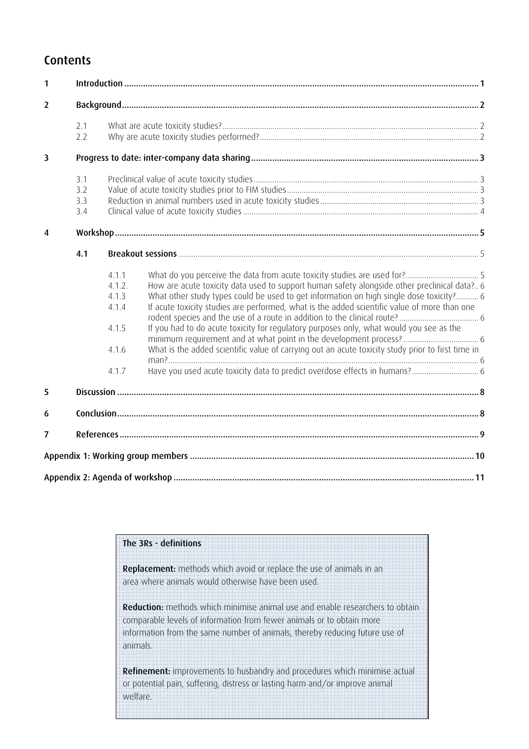# **Contents**

| $\mathbf{1}$   |     |        |                                                                                                   |  |
|----------------|-----|--------|---------------------------------------------------------------------------------------------------|--|
| $\overline{2}$ |     |        |                                                                                                   |  |
|                | 2.1 |        |                                                                                                   |  |
|                | 2.2 |        |                                                                                                   |  |
| 3              |     |        |                                                                                                   |  |
|                | 3.1 |        |                                                                                                   |  |
|                | 3.2 |        |                                                                                                   |  |
|                | 3.3 |        |                                                                                                   |  |
|                | 3.4 |        |                                                                                                   |  |
| 4              |     |        |                                                                                                   |  |
|                | 4.1 |        |                                                                                                   |  |
|                |     | 4.1.1  |                                                                                                   |  |
|                |     | 4.1.2. | How are acute toxicity data used to support human safety alongside other preclinical data? 6      |  |
|                |     | 4.1.3  | What other study types could be used to get information on high single dose toxicity? 6           |  |
|                |     | 4.1.4  | If acute toxicity studies are performed, what is the added scientific value of more than one      |  |
|                |     | 4.1.5  | If you had to do acute toxicity for regulatory purposes only, what would you see as the           |  |
|                |     | 4.1.6  | What is the added scientific value of carrying out an acute toxicity study prior to first time in |  |
|                |     | 4.1.7  |                                                                                                   |  |
| 5              |     |        |                                                                                                   |  |
| 6              |     |        |                                                                                                   |  |
| 7              |     |        |                                                                                                   |  |
|                |     |        |                                                                                                   |  |
|                |     |        |                                                                                                   |  |
|                |     |        |                                                                                                   |  |

## The 3Rs - definitions

Replacement: methods which avoid or replace the use of animals in an area where animals would otherwise have been used.

Reduction: methods which minimise animal use and enable researchers to obtain comparable levels of information from fewer animals or to obtain more information from the same number of animals, thereby reducing future use of animals.

Refinement: improvements to husbandry and procedures which minimise actual or potential pain, suffering, distress or lasting harm and/or improve animal welfare.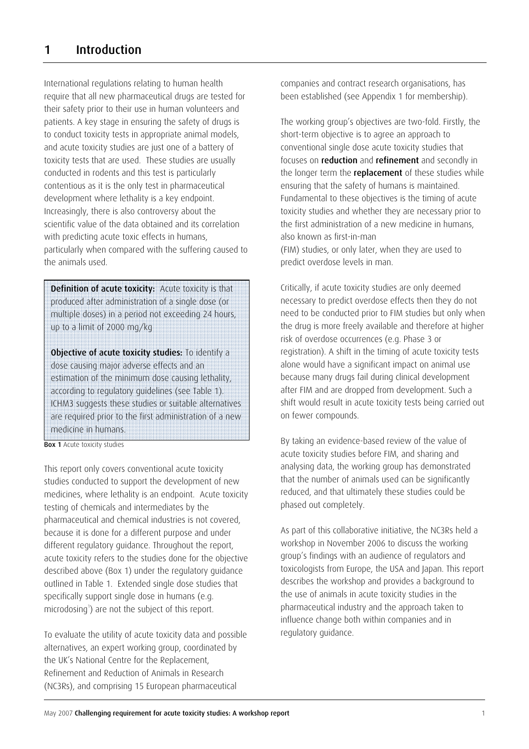International regulations relating to human health require that all new pharmaceutical drugs are tested for their safety prior to their use in human volunteers and patients. A key stage in ensuring the safety of drugs is to conduct toxicity tests in appropriate animal models, and acute toxicity studies are just one of a battery of toxicity tests that are used. These studies are usually conducted in rodents and this test is particularly contentious as it is the only test in pharmaceutical development where lethality is a key endpoint. Increasingly, there is also controversy about the scientific value of the data obtained and its correlation with predicting acute toxic effects in humans, particularly when compared with the suffering caused to the animals used.

Definition of acute toxicity: Acute toxicity is that produced after administration of a single dose (or multiple doses) in a period not exceeding 24 hours, up to a limit of 2000 mg/kg

Objective of acute toxicity studies: To identify a dose causing major adverse effects and an estimation of the minimum dose causing lethality, according to regulatory guidelines (see Table 1). ICHM3 suggests these studies or suitable alternatives are required prior to the first administration of a new medicine in humans.

**Box 1** Acute toxicity studies

This report only covers conventional acute toxicity studies conducted to support the development of new medicines, where lethality is an endpoint. Acute toxicity testing of chemicals and intermediates by the pharmaceutical and chemical industries is not covered, because it is done for a different purpose and under different regulatory guidance. Throughout the report, acute toxicity refers to the studies done for the objective described above (Box 1) under the regulatory guidance outlined in Table 1. Extended single dose studies that specifically support single dose in humans (e.g. microdosing<sup>1</sup>) are not the subject of this report.

To evaluate the utility of acute toxicity data and possible alternatives, an expert working group, coordinated by the UK's National Centre for the Replacement, Refinement and Reduction of Animals in Research (NC3Rs), and comprising 15 European pharmaceutical

companies and contract research organisations, has been established (see Appendix 1 for membership).

The working group's objectives are two-fold. Firstly, the short-term objective is to agree an approach to conventional single dose acute toxicity studies that focuses on reduction and refinement and secondly in the longer term the replacement of these studies while ensuring that the safety of humans is maintained. Fundamental to these objectives is the timing of acute toxicity studies and whether they are necessary prior to the first administration of a new medicine in humans, also known as first-in-man (FIM) studies, or only later, when they are used to predict overdose levels in man.

Critically, if acute toxicity studies are only deemed necessary to predict overdose effects then they do not need to be conducted prior to FIM studies but only when the drug is more freely available and therefore at higher risk of overdose occurrences (e.g. Phase 3 or registration). A shift in the timing of acute toxicity tests alone would have a significant impact on animal use because many drugs fail during clinical development after FIM and are dropped from development. Such a shift would result in acute toxicity tests being carried out on fewer compounds.

By taking an evidence-based review of the value of acute toxicity studies before FIM, and sharing and analysing data, the working group has demonstrated that the number of animals used can be significantly reduced, and that ultimately these studies could be phased out completely.

As part of this collaborative initiative, the NC3Rs held a workshop in November 2006 to discuss the working group's findings with an audience of regulators and toxicologists from Europe, the USA and Japan. This report describes the workshop and provides a background to the use of animals in acute toxicity studies in the pharmaceutical industry and the approach taken to influence change both within companies and in regulatory guidance.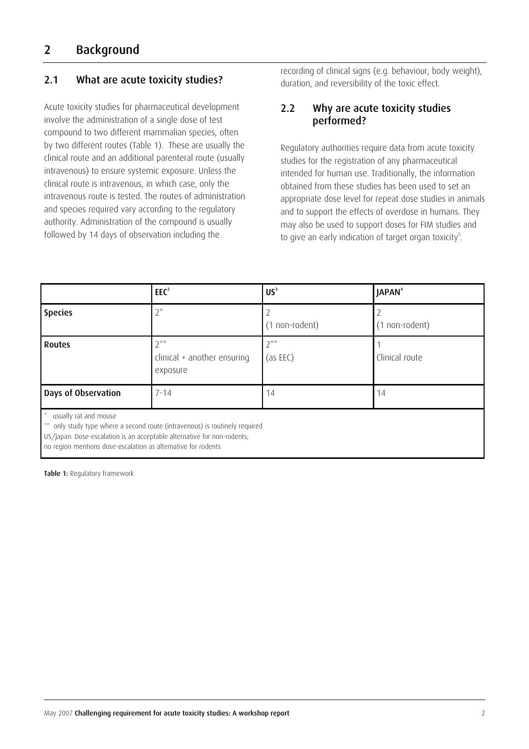# 2 Background

#### 2.1 What are acute toxicity studies?

Acute toxicity studies for pharmaceutical development involve the administration of a single dose of test compound to two different mammalian species, often by two different routes (Table 1). These are usually the clinical route and an additional parenteral route (usually intravenous) to ensure systemic exposure. Unless the clinical route is intravenous, in which case, only the intravenous route is tested. The routes of administration and species required vary according to the regulatory authority. Administration of the compound is usually followed by 14 days of observation including the

recording of clinical signs (e.g. behaviour, body weight), duration, and reversibility of the toxic effect.

#### 2.2 Why are acute toxicity studies performed?

Regulatory authorities require data from acute toxicity studies for the registration of any pharmaceutical intended for human use. Traditionally, the information obtained from these studies has been used to set an appropriate dose level for repeat dose studies in animals and to support the effects of overdose in humans. They may also be used to support doses for FIM studies and to give an early indication of target organ toxicity<sup>3</sup>.

|                                                                                                                                                                         | EEC <sup>2</sup>                                                         | US <sup>3</sup>      | JAPAN <sup>4</sup> |
|-------------------------------------------------------------------------------------------------------------------------------------------------------------------------|--------------------------------------------------------------------------|----------------------|--------------------|
| <b>Species</b>                                                                                                                                                          | $2^*$                                                                    | I non-rodent)        | non-rodent)<br>(1) |
| <b>Routes</b>                                                                                                                                                           | $2^{***}$<br>$clinical + another ensuring$<br>exposure                   | $2^{**}$<br>(as EEC) | Clinical route     |
| Days of Observation                                                                                                                                                     | $7 - 14$                                                                 | 14                   | 14                 |
| usually rat and mouse<br>**<br>US/Japan: Dose-escalation is an acceptable alternative for non-rodents;<br>no region mentions dose-escalation as alternative for rodents | only study type where a second route (intravenous) is routinely required |                      |                    |

Table 1: Regulatory framework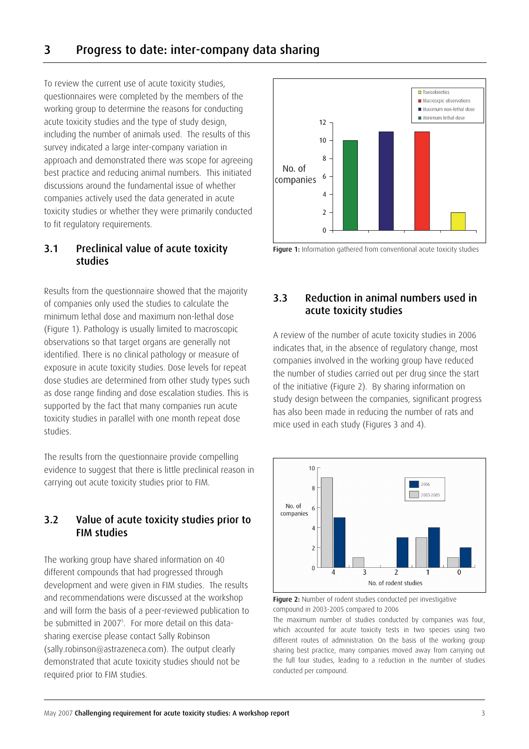To review the current use of acute toxicity studies, questionnaires were completed by the members of the working group to determine the reasons for conducting acute toxicity studies and the type of study design, including the number of animals used. The results of this survey indicated a large inter-company variation in approach and demonstrated there was scope for agreeing best practice and reducing animal numbers. This initiated discussions around the fundamental issue of whether companies actively used the data generated in acute toxicity studies or whether they were primarily conducted to fit regulatory requirements.

#### 3.1 Preclinical value of acute toxicity studies

Results from the questionnaire showed that the majority of companies only used the studies to calculate the minimum lethal dose and maximum non-lethal dose (Figure 1). Pathology is usually limited to macroscopic observations so that target organs are generally not identified. There is no clinical pathology or measure of exposure in acute toxicity studies. Dose levels for repeat dose studies are determined from other study types such as dose range finding and dose escalation studies. This is supported by the fact that many companies run acute toxicity studies in parallel with one month repeat dose studies.

The results from the questionnaire provide compelling evidence to suggest that there is little preclinical reason in carrying out acute toxicity studies prior to FIM.

### 3.2 Value of acute toxicity studies prior to FIM studies

The working group have shared information on 40 different compounds that had progressed through development and were given in FIM studies. The results and recommendations were discussed at the workshop and will form the basis of a peer-reviewed publication to be submitted in 2007<sup>5</sup>. For more detail on this datasharing exercise please contact Sally Robinson (sally.robinson@astrazeneca.com). The output clearly demonstrated that acute toxicity studies should not be required prior to FIM studies.





## 3.3 Reduction in animal numbers used in acute toxicity studies

A review of the number of acute toxicity studies in 2006 indicates that, in the absence of regulatory change, most companies involved in the working group have reduced the number of studies carried out per drug since the start of the initiative (Figure 2). By sharing information on study design between the companies, significant progress has also been made in reducing the number of rats and mice used in each study (Figures 3 and 4).



Figure 2: Number of rodent studies conducted per investigative compound in 2003-2005 compared to 2006

The maximum number of studies conducted by companies was four, which accounted for acute toxicity tests in two species using two different routes of administration. On the basis of the working group sharing best practice, many companies moved away from carrying out the full four studies, leading to a reduction in the number of studies conducted per compound.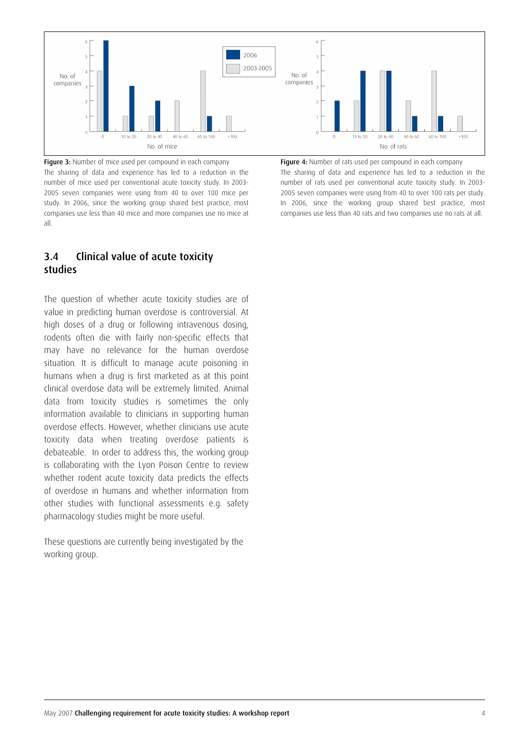

Figure 3: Number of mice used per compound in each company The sharing of data and experience has led to a reduction in the number of mice used per conventional acute toxicity study. In 2003- 2005 seven companies were using from 40 to over 100 mice per study. In 2006, since the working group shared best practice, most companies use less than 40 mice and more companies use no mice at all.

#### 3.4 Clinical value of acute toxicity studies

The question of whether acute toxicity studies are of value in predicting human overdose is controversial. At high doses of a drug or following intravenous dosing, rodents often die with fairly non-specific effects that may have no relevance for the human overdose situation. It is difficult to manage acute poisoning in humans when a drug is first marketed as at this point clinical overdose data will be extremely limited. Animal data from toxicity studies is sometimes the only information available to clinicians in supporting human overdose effects. However, whether clinicians use acute toxicity data when treating overdose patients is debateable. In order to address this, the working group is collaborating with the Lyon Poison Centre to review whether rodent acute toxicity data predicts the effects of overdose in humans and whether information from other studies with functional assessments e.g. safety pharmacology studies might be more useful.

These questions are currently being investigated by the working group.

Figure 4: Number of rats used per compound in each company The sharing of data and experience has led to a reduction in the number of rats used per conventional acute toxicity study. In 2003- 2005 seven companies were using from 40 to over 100 rats per study. In 2006, since the working group shared best practice, most companies use less than 40 rats and two companies use no rats at all.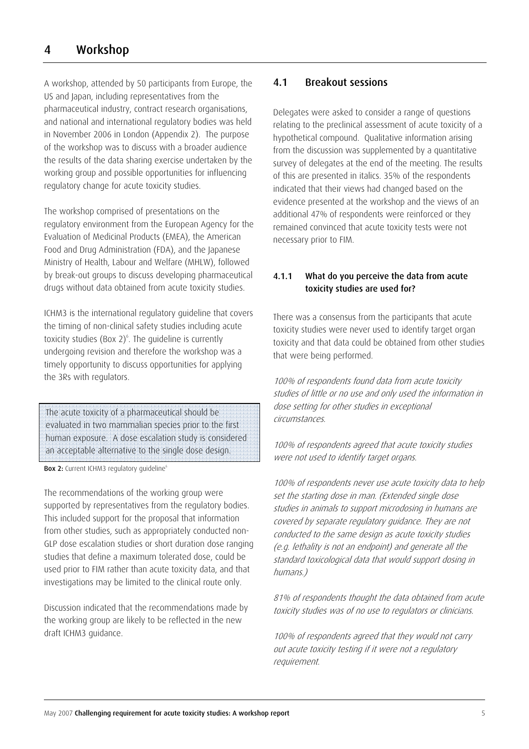A workshop, attended by 50 participants from Europe, the US and Japan, including representatives from the pharmaceutical industry, contract research organisations, and national and international regulatory bodies was held in November 2006 in London (Appendix 2). The purpose of the workshop was to discuss with a broader audience the results of the data sharing exercise undertaken by the working group and possible opportunities for influencing regulatory change for acute toxicity studies.

The workshop comprised of presentations on the regulatory environment from the European Agency for the Evaluation of Medicinal Products (EMEA), the American Food and Drug Administration (FDA), and the Japanese Ministry of Health, Labour and Welfare (MHLW), followed by break-out groups to discuss developing pharmaceutical drugs without data obtained from acute toxicity studies.

ICHM3 is the international regulatory guideline that covers the timing of non-clinical safety studies including acute toxicity studies (Box  $2)^6$ . The guideline is currently undergoing revision and therefore the workshop was a timely opportunity to discuss opportunities for applying the 3Rs with regulators.

The acute toxicity of a pharmaceutical should be evaluated in two mammalian species prior to the first human exposure. A dose escalation study is considered an acceptable alternative to the single dose design.

Box 2: Current ICHM3 regulatory guideline<sup>6</sup>

The recommendations of the working group were supported by representatives from the regulatory bodies. This included support for the proposal that information from other studies, such as appropriately conducted non-GLP dose escalation studies or short duration dose ranging studies that define a maximum tolerated dose, could be used prior to FIM rather than acute toxicity data, and that investigations may be limited to the clinical route only.

Discussion indicated that the recommendations made by the working group are likely to be reflected in the new draft ICHM3 guidance.

#### 4.1 Breakout sessions

Delegates were asked to consider a range of questions relating to the preclinical assessment of acute toxicity of a hypothetical compound. Qualitative information arising from the discussion was supplemented by a quantitative survey of delegates at the end of the meeting. The results of this are presented in italics. 35% of the respondents indicated that their views had changed based on the evidence presented at the workshop and the views of an additional 47% of respondents were reinforced or they remained convinced that acute toxicity tests were not necessary prior to FIM.

#### 4.1.1 What do you perceive the data from acute toxicity studies are used for?

There was a consensus from the participants that acute toxicity studies were never used to identify target organ toxicity and that data could be obtained from other studies that were being performed.

100% of respondents found data from acute toxicity studies of little or no use and only used the information in dose setting for other studies in exceptional circumstances.

100% of respondents agreed that acute toxicity studies were not used to identify target organs.

100% of respondents never use acute toxicity data to help set the starting dose in man. (Extended single dose studies in animals to support microdosing in humans are covered by separate regulatory guidance. They are not conducted to the same design as acute toxicity studies (e.g. lethality is not an endpoint) and generate all the standard toxicological data that would support dosing in humans.)

81% of respondents thought the data obtained from acute toxicity studies was of no use to regulators or clinicians.

100% of respondents agreed that they would not carry out acute toxicity testing if it were not a regulatory requirement.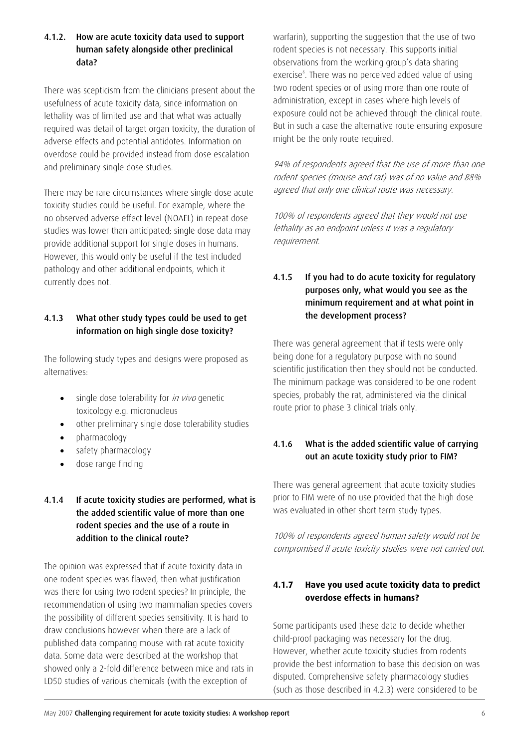#### 4.1.2. How are acute toxicity data used to support human safety alongside other preclinical data?

There was scepticism from the clinicians present about the usefulness of acute toxicity data, since information on lethality was of limited use and that what was actually required was detail of target organ toxicity, the duration of adverse effects and potential antidotes. Information on overdose could be provided instead from dose escalation and preliminary single dose studies.

There may be rare circumstances where single dose acute toxicity studies could be useful. For example, where the no observed adverse effect level (NOAEL) in repeat dose studies was lower than anticipated; single dose data may provide additional support for single doses in humans. However, this would only be useful if the test included pathology and other additional endpoints, which it currently does not.

#### 4.1.3 What other study types could be used to get information on high single dose toxicity?

The following study types and designs were proposed as alternatives:

- single dose tolerability for *in vivo* genetic toxicology e.g. micronucleus
- other preliminary single dose tolerability studies
- pharmacology
- safety pharmacology
- dose range finding

#### 4.1.4 If acute toxicity studies are performed, what is the added scientific value of more than one rodent species and the use of a route in addition to the clinical route?

The opinion was expressed that if acute toxicity data in one rodent species was flawed, then what justification was there for using two rodent species? In principle, the recommendation of using two mammalian species covers the possibility of different species sensitivity. It is hard to draw conclusions however when there are a lack of published data comparing mouse with rat acute toxicity data. Some data were described at the workshop that showed only a 2-fold difference between mice and rats in LD50 studies of various chemicals (with the exception of

warfarin), supporting the suggestion that the use of two rodent species is not necessary. This supports initial observations from the working group's data sharing exercise<sup>6</sup>. There was no perceived added value of using two rodent species or of using more than one route of administration, except in cases where high levels of exposure could not be achieved through the clinical route. But in such a case the alternative route ensuring exposure might be the only route required.

94% of respondents agreed that the use of more than one rodent species (mouse and rat) was of no value and 88% agreed that only one clinical route was necessary.

100% of respondents agreed that they would not use lethality as an endpoint unless it was a regulatory requirement.

#### 4.1.5 If you had to do acute toxicity for regulatory purposes only, what would you see as the minimum requirement and at what point in the development process?

There was general agreement that if tests were only being done for a regulatory purpose with no sound scientific justification then they should not be conducted. The minimum package was considered to be one rodent species, probably the rat, administered via the clinical route prior to phase 3 clinical trials only.

#### 4.1.6 What is the added scientific value of carrying out an acute toxicity study prior to FIM?

There was general agreement that acute toxicity studies prior to FIM were of no use provided that the high dose was evaluated in other short term study types.

100% of respondents agreed human safety would not be compromised if acute toxicity studies were not carried out.

#### **4.1.7 Have you used acute toxicity data to predict overdose effects in humans?**

Some participants used these data to decide whether child-proof packaging was necessary for the drug. However, whether acute toxicity studies from rodents provide the best information to base this decision on was disputed. Comprehensive safety pharmacology studies (such as those described in 4.2.3) were considered to be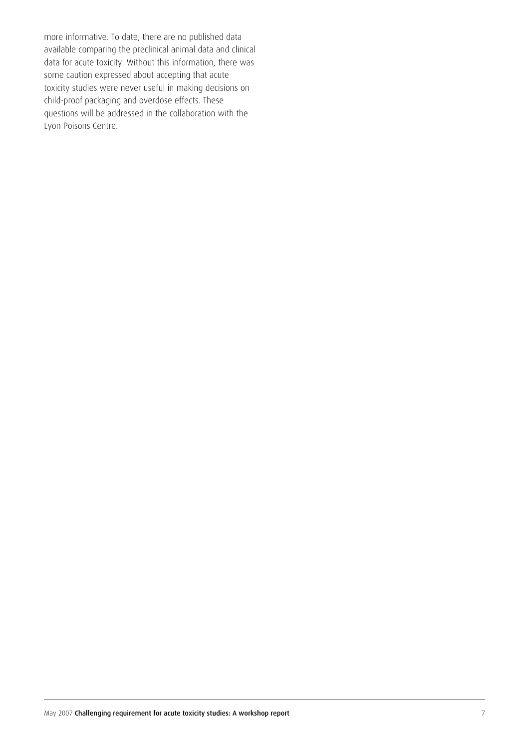more informative. To date, there are no published data available comparing the preclinical animal data and clinical data for acute toxicity. Without this information, there was some caution expressed about accepting that acute toxicity studies were never useful in making decisions on child-proof packaging and overdose effects. These questions will be addressed in the collaboration with the Lyon Poisons Centre.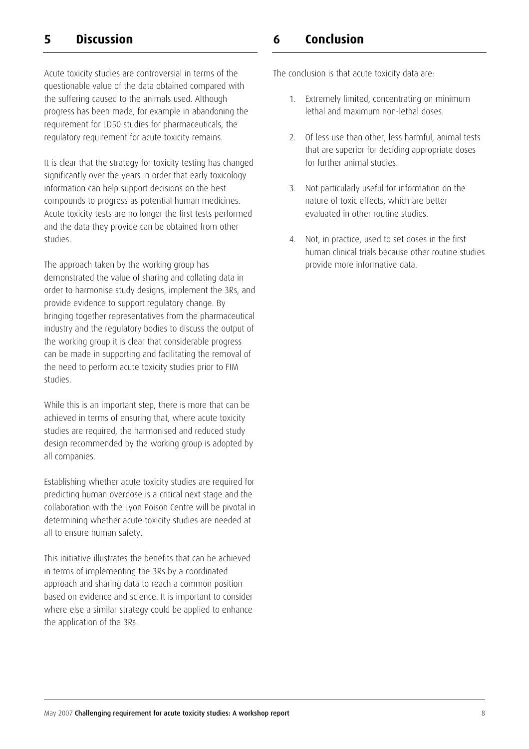# **5 Discussion**

Acute toxicity studies are controversial in terms of the questionable value of the data obtained compared with the suffering caused to the animals used. Although progress has been made, for example in abandoning the requirement for LD50 studies for pharmaceuticals, the regulatory requirement for acute toxicity remains.

It is clear that the strategy for toxicity testing has changed significantly over the years in order that early toxicology information can help support decisions on the best compounds to progress as potential human medicines. Acute toxicity tests are no longer the first tests performed and the data they provide can be obtained from other studies.

The approach taken by the working group has demonstrated the value of sharing and collating data in order to harmonise study designs, implement the 3Rs, and provide evidence to support regulatory change. By bringing together representatives from the pharmaceutical industry and the regulatory bodies to discuss the output of the working group it is clear that considerable progress can be made in supporting and facilitating the removal of the need to perform acute toxicity studies prior to FIM studies.

While this is an important step, there is more that can be achieved in terms of ensuring that, where acute toxicity studies are required, the harmonised and reduced study design recommended by the working group is adopted by all companies.

Establishing whether acute toxicity studies are required for predicting human overdose is a critical next stage and the collaboration with the Lyon Poison Centre will be pivotal in determining whether acute toxicity studies are needed at all to ensure human safety.

This initiative illustrates the benefits that can be achieved in terms of implementing the 3Rs by a coordinated approach and sharing data to reach a common position based on evidence and science. It is important to consider where else a similar strategy could be applied to enhance the application of the 3Rs.

## **6 Conclusion**

The conclusion is that acute toxicity data are:

- 1. Extremely limited, concentrating on minimum lethal and maximum non-lethal doses.
- 2. Of less use than other, less harmful, animal tests that are superior for deciding appropriate doses for further animal studies.
- 3. Not particularly useful for information on the nature of toxic effects, which are better evaluated in other routine studies.
- 4. Not, in practice, used to set doses in the first human clinical trials because other routine studies provide more informative data.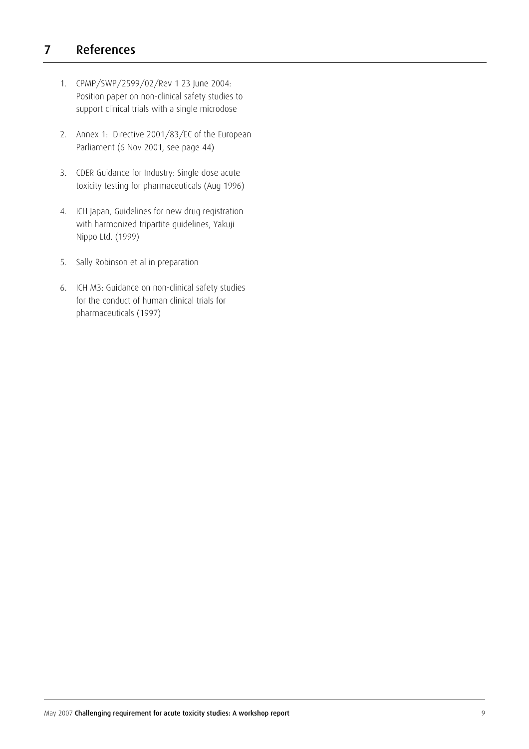# 7 References

- 1. CPMP/SWP/2599/02/Rev 1 23 June 2004: Position paper on non-clinical safety studies to support clinical trials with a single microdose
- 2. Annex 1: Directive 2001/83/EC of the European Parliament (6 Nov 2001, see page 44)
- 3. CDER Guidance for Industry: Single dose acute toxicity testing for pharmaceuticals (Aug 1996)
- 4. ICH Japan, Guidelines for new drug registration with harmonized tripartite guidelines, Yakuji Nippo Ltd. (1999)
- 5. Sally Robinson et al in preparation
- 6. ICH M3: Guidance on non-clinical safety studies for the conduct of human clinical trials for pharmaceuticals (1997)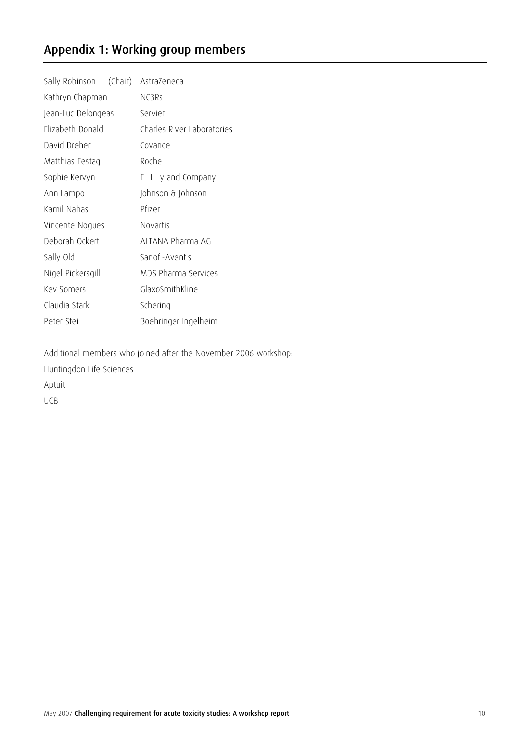# Appendix 1: Working group members

| Sally Robinson (Chair) | AstraZeneca                |
|------------------------|----------------------------|
| Kathryn Chapman        | NC3Rs                      |
| Jean-Luc Delongeas     | Servier                    |
| Elizabeth Donald       | Charles River Laboratories |
| David Dreher           | Covance                    |
| Matthias Festag        | Roche                      |
| Sophie Kervyn          | Eli Lilly and Company      |
| Ann Lampo              | Johnson & Johnson          |
| Kamil Nahas            | Pfizer                     |
| Vincente Nogues        | <b>Novartis</b>            |
| Deborah Ockert         | ALTANA Pharma AG           |
| Sally Old              | Sanofi-Aventis             |
| Nigel Pickersgill      | MDS Pharma Services        |
| Key Somers             | GlaxoSmithKline            |
| Claudia Stark          | Schering                   |
| Peter Stei             | Boehringer Ingelheim       |

Additional members who joined after the November 2006 workshop: Huntingdon Life Sciences Aptuit UCB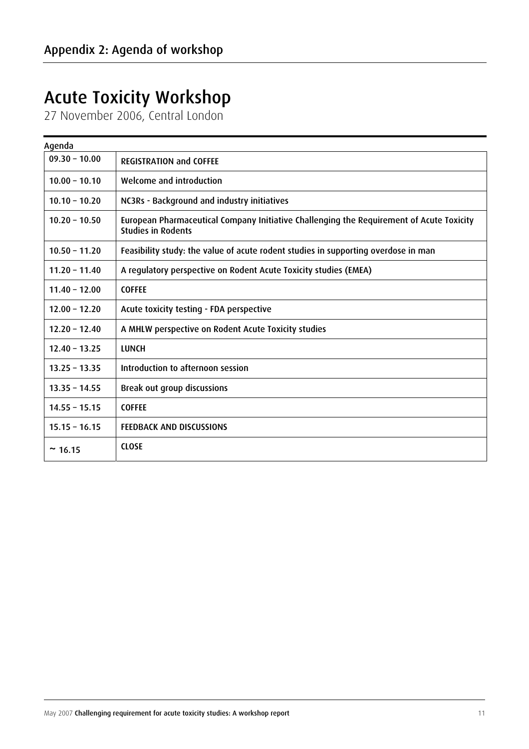# Acute Toxicity Workshop

27 November 2006, Central London

 $\overline{a}$ 

| Agenda          |                                                                                                                       |  |  |  |  |
|-----------------|-----------------------------------------------------------------------------------------------------------------------|--|--|--|--|
| $09.30 - 10.00$ | <b>REGISTRATION and COFFEE</b>                                                                                        |  |  |  |  |
| $10.00 - 10.10$ | Welcome and introduction                                                                                              |  |  |  |  |
| $10.10 - 10.20$ | NC3Rs - Background and industry initiatives                                                                           |  |  |  |  |
| $10.20 - 10.50$ | European Pharmaceutical Company Initiative Challenging the Requirement of Acute Toxicity<br><b>Studies in Rodents</b> |  |  |  |  |
| $10.50 - 11.20$ | Feasibility study: the value of acute rodent studies in supporting overdose in man                                    |  |  |  |  |
| $11.20 - 11.40$ | A regulatory perspective on Rodent Acute Toxicity studies (EMEA)                                                      |  |  |  |  |
| $11.40 - 12.00$ | <b>COFFEE</b>                                                                                                         |  |  |  |  |
| $12.00 - 12.20$ | Acute toxicity testing - FDA perspective                                                                              |  |  |  |  |
| $12.20 - 12.40$ | A MHLW perspective on Rodent Acute Toxicity studies                                                                   |  |  |  |  |
| $12.40 - 13.25$ | <b>LUNCH</b>                                                                                                          |  |  |  |  |
| $13.25 - 13.35$ | Introduction to afternoon session                                                                                     |  |  |  |  |
| $13.35 - 14.55$ | Break out group discussions                                                                                           |  |  |  |  |
| $14.55 - 15.15$ | <b>COFFEE</b>                                                                                                         |  |  |  |  |
| $15.15 - 16.15$ | <b>FEEDBACK AND DISCUSSIONS</b>                                                                                       |  |  |  |  |
| ~16.15          | <b>CLOSE</b>                                                                                                          |  |  |  |  |